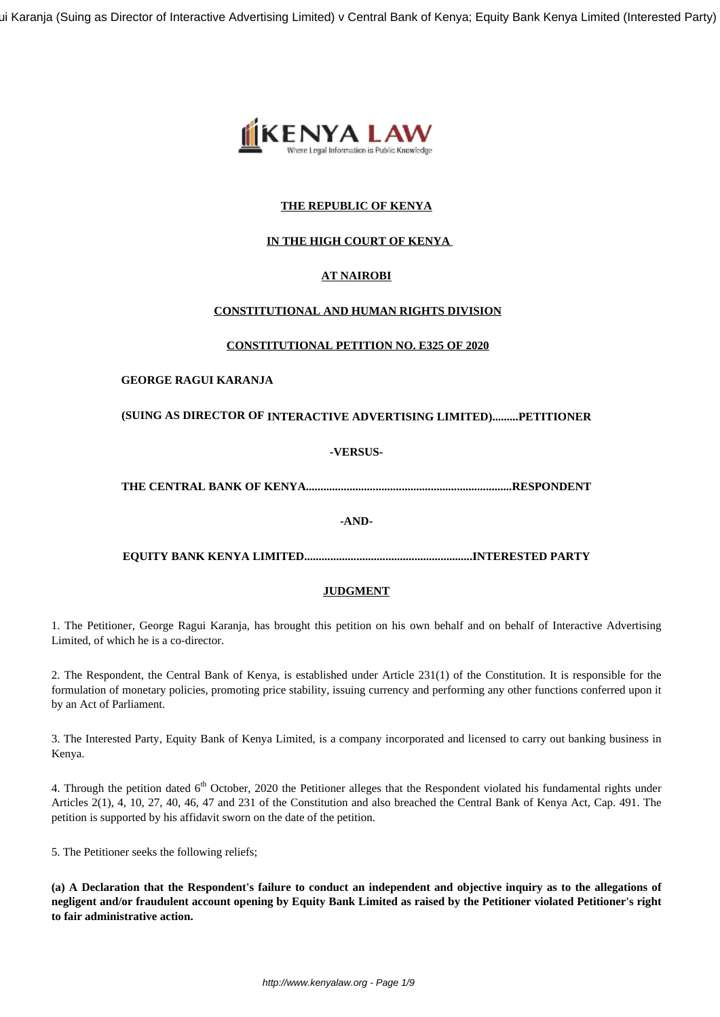ui Karanja (Suing as Director of Interactive Advertising Limited) v Central Bank of Kenya; Equity Bank Kenya Limited (Interested Party)



## **THE REPUBLIC OF KENYA**

## **IN THE HIGH COURT OF KENYA**

# **AT NAIROBI**

## **CONSTITUTIONAL AND HUMAN RIGHTS DIVISION**

#### **CONSTITUTIONAL PETITION NO. E325 OF 2020**

### **GEORGE RAGUI KARANJA**

## **(SUING AS DIRECTOR OF INTERACTIVE ADVERTISING LIMITED).........PETITIONER**

## **-VERSUS-**

**THE CENTRAL BANK OF KENYA.......................................................................RESPONDENT**

#### **-AND-**

**EQUITY BANK KENYA LIMITED..........................................................INTERESTED PARTY**

## **JUDGMENT**

1. The Petitioner, George Ragui Karanja, has brought this petition on his own behalf and on behalf of Interactive Advertising Limited, of which he is a co-director.

2. The Respondent, the Central Bank of Kenya, is established under Article 231(1) of the Constitution. It is responsible for the formulation of monetary policies, promoting price stability, issuing currency and performing any other functions conferred upon it by an Act of Parliament.

3. The Interested Party, Equity Bank of Kenya Limited, is a company incorporated and licensed to carry out banking business in Kenya.

4. Through the petition dated  $6<sup>th</sup>$  October, 2020 the Petitioner alleges that the Respondent violated his fundamental rights under Articles 2(1), 4, 10, 27, 40, 46, 47 and 231 of the Constitution and also breached the Central Bank of Kenya Act, Cap. 491. The petition is supported by his affidavit sworn on the date of the petition.

5. The Petitioner seeks the following reliefs;

**(a) A Declaration that the Respondent's failure to conduct an independent and objective inquiry as to the allegations of negligent and/or fraudulent account opening by Equity Bank Limited as raised by the Petitioner violated Petitioner's right to fair administrative action.**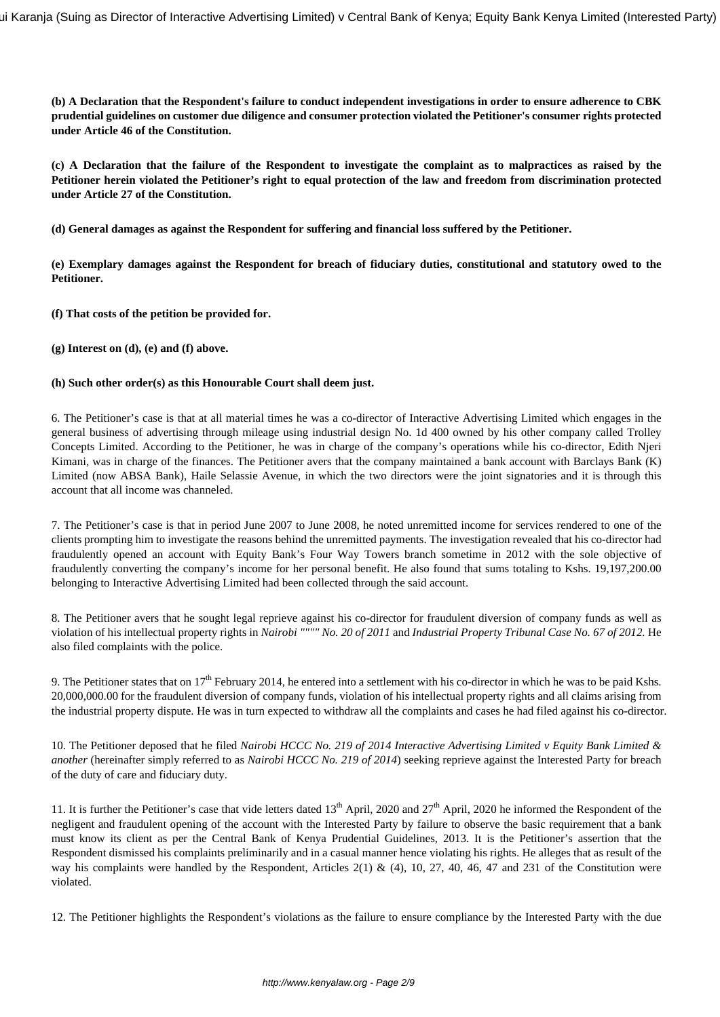**(b) A Declaration that the Respondent's failure to conduct independent investigations in order to ensure adherence to CBK prudential guidelines on customer due diligence and consumer protection violated the Petitioner's consumer rights protected under Article 46 of the Constitution.**

**(c) A Declaration that the failure of the Respondent to investigate the complaint as to malpractices as raised by the Petitioner herein violated the Petitioner's right to equal protection of the law and freedom from discrimination protected under Article 27 of the Constitution.**

**(d) General damages as against the Respondent for suffering and financial loss suffered by the Petitioner.** 

**(e) Exemplary damages against the Respondent for breach of fiduciary duties, constitutional and statutory owed to the Petitioner.**

**(f) That costs of the petition be provided for.**

**(g) Interest on (d), (e) and (f) above.**

#### **(h) Such other order(s) as this Honourable Court shall deem just.**

6. The Petitioner's case is that at all material times he was a co-director of Interactive Advertising Limited which engages in the general business of advertising through mileage using industrial design No. 1d 400 owned by his other company called Trolley Concepts Limited. According to the Petitioner, he was in charge of the company's operations while his co-director, Edith Njeri Kimani, was in charge of the finances. The Petitioner avers that the company maintained a bank account with Barclays Bank (K) Limited (now ABSA Bank), Haile Selassie Avenue, in which the two directors were the joint signatories and it is through this account that all income was channeled.

7. The Petitioner's case is that in period June 2007 to June 2008, he noted unremitted income for services rendered to one of the clients prompting him to investigate the reasons behind the unremitted payments. The investigation revealed that his co-director had fraudulently opened an account with Equity Bank's Four Way Towers branch sometime in 2012 with the sole objective of fraudulently converting the company's income for her personal benefit. He also found that sums totaling to Kshs. 19,197,200.00 belonging to Interactive Advertising Limited had been collected through the said account.

8. The Petitioner avers that he sought legal reprieve against his co-director for fraudulent diversion of company funds as well as violation of his intellectual property rights in *Nairobi """" No. 20 of 2011* and *Industrial Property Tribunal Case No. 67 of 2012.* He also filed complaints with the police.

9. The Petitioner states that on  $17<sup>th</sup>$  February 2014, he entered into a settlement with his co-director in which he was to be paid Kshs. 20,000,000.00 for the fraudulent diversion of company funds, violation of his intellectual property rights and all claims arising from the industrial property dispute. He was in turn expected to withdraw all the complaints and cases he had filed against his co-director.

10. The Petitioner deposed that he filed *Nairobi HCCC No. 219 of 2014 Interactive Advertising Limited v Equity Bank Limited & another* (hereinafter simply referred to as *Nairobi HCCC No. 219 of 2014*) seeking reprieve against the Interested Party for breach of the duty of care and fiduciary duty.

11. It is further the Petitioner's case that vide letters dated  $13<sup>th</sup>$  April, 2020 and  $27<sup>th</sup>$  April, 2020 he informed the Respondent of the negligent and fraudulent opening of the account with the Interested Party by failure to observe the basic requirement that a bank must know its client as per the Central Bank of Kenya Prudential Guidelines, 2013. It is the Petitioner's assertion that the Respondent dismissed his complaints preliminarily and in a casual manner hence violating his rights. He alleges that as result of the way his complaints were handled by the Respondent, Articles 2(1) & (4), 10, 27, 40, 46, 47 and 231 of the Constitution were violated.

12. The Petitioner highlights the Respondent's violations as the failure to ensure compliance by the Interested Party with the due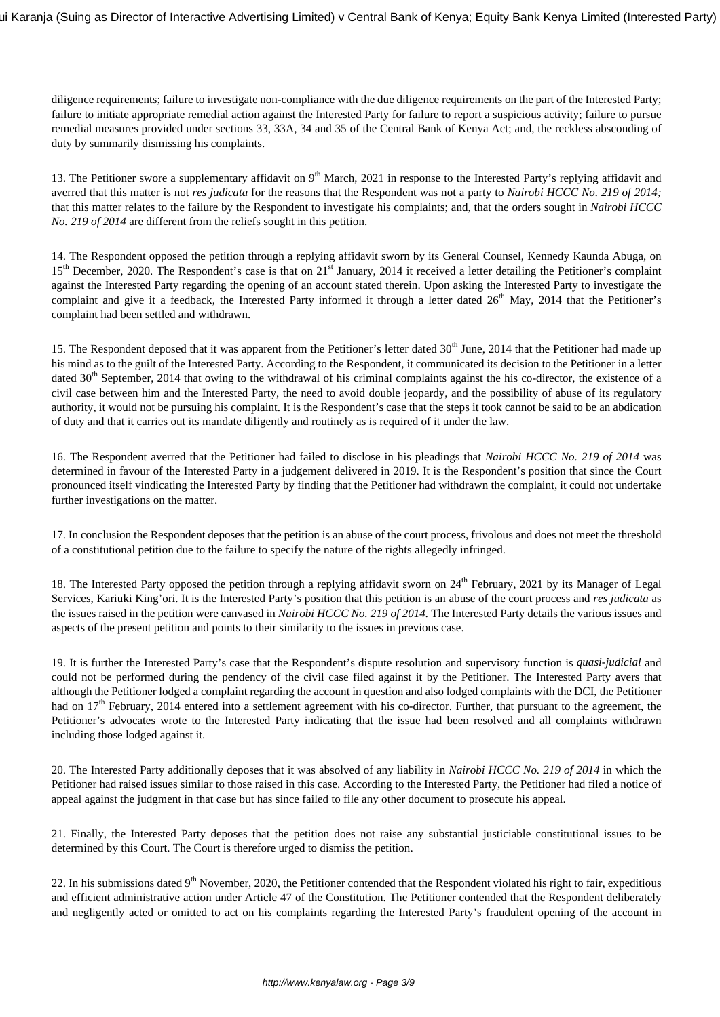diligence requirements; failure to investigate non-compliance with the due diligence requirements on the part of the Interested Party; failure to initiate appropriate remedial action against the Interested Party for failure to report a suspicious activity; failure to pursue remedial measures provided under sections 33, 33A, 34 and 35 of the Central Bank of Kenya Act; and, the reckless absconding of duty by summarily dismissing his complaints.

13. The Petitioner swore a supplementary affidavit on  $9<sup>th</sup>$  March, 2021 in response to the Interested Party's replying affidavit and averred that this matter is not *res judicata* for the reasons that the Respondent was not a party to *Nairobi HCCC No. 219 of 2014;* that this matter relates to the failure by the Respondent to investigate his complaints; and, that the orders sought in *Nairobi HCCC No. 219 of 2014* are different from the reliefs sought in this petition.

14. The Respondent opposed the petition through a replying affidavit sworn by its General Counsel, Kennedy Kaunda Abuga, on 15<sup>th</sup> December, 2020. The Respondent's case is that on 21<sup>st</sup> January, 2014 it received a letter detailing the Petitioner's complaint against the Interested Party regarding the opening of an account stated therein. Upon asking the Interested Party to investigate the complaint and give it a feedback, the Interested Party informed it through a letter dated  $26<sup>th</sup>$  May, 2014 that the Petitioner's complaint had been settled and withdrawn.

15. The Respondent deposed that it was apparent from the Petitioner's letter dated 30<sup>th</sup> June, 2014 that the Petitioner had made up his mind as to the guilt of the Interested Party. According to the Respondent, it communicated its decision to the Petitioner in a letter dated  $30<sup>th</sup>$  September, 2014 that owing to the withdrawal of his criminal complaints against the his co-director, the existence of a civil case between him and the Interested Party, the need to avoid double jeopardy, and the possibility of abuse of its regulatory authority, it would not be pursuing his complaint. It is the Respondent's case that the steps it took cannot be said to be an abdication of duty and that it carries out its mandate diligently and routinely as is required of it under the law.

16. The Respondent averred that the Petitioner had failed to disclose in his pleadings that *Nairobi HCCC No. 219 of 2014* was determined in favour of the Interested Party in a judgement delivered in 2019. It is the Respondent's position that since the Court pronounced itself vindicating the Interested Party by finding that the Petitioner had withdrawn the complaint, it could not undertake further investigations on the matter.

17. In conclusion the Respondent deposes that the petition is an abuse of the court process, frivolous and does not meet the threshold of a constitutional petition due to the failure to specify the nature of the rights allegedly infringed.

18. The Interested Party opposed the petition through a replying affidavit sworn on 24<sup>th</sup> February, 2021 by its Manager of Legal Services, Kariuki King'ori. It is the Interested Party's position that this petition is an abuse of the court process and *res judicata* as the issues raised in the petition were canvased in *Nairobi HCCC No. 219 of 2014.* The Interested Party details the various issues and aspects of the present petition and points to their similarity to the issues in previous case.

19. It is further the Interested Party's case that the Respondent's dispute resolution and supervisory function is *quasi-judicial* and could not be performed during the pendency of the civil case filed against it by the Petitioner. The Interested Party avers that although the Petitioner lodged a complaint regarding the account in question and also lodged complaints with the DCI, the Petitioner had on 17<sup>th</sup> February, 2014 entered into a settlement agreement with his co-director. Further, that pursuant to the agreement, the Petitioner's advocates wrote to the Interested Party indicating that the issue had been resolved and all complaints withdrawn including those lodged against it.

20. The Interested Party additionally deposes that it was absolved of any liability in *Nairobi HCCC No. 219 of 2014* in which the Petitioner had raised issues similar to those raised in this case. According to the Interested Party, the Petitioner had filed a notice of appeal against the judgment in that case but has since failed to file any other document to prosecute his appeal.

21. Finally, the Interested Party deposes that the petition does not raise any substantial justiciable constitutional issues to be determined by this Court. The Court is therefore urged to dismiss the petition.

22. In his submissions dated  $9<sup>th</sup>$  November, 2020, the Petitioner contended that the Respondent violated his right to fair, expeditious and efficient administrative action under Article 47 of the Constitution. The Petitioner contended that the Respondent deliberately and negligently acted or omitted to act on his complaints regarding the Interested Party's fraudulent opening of the account in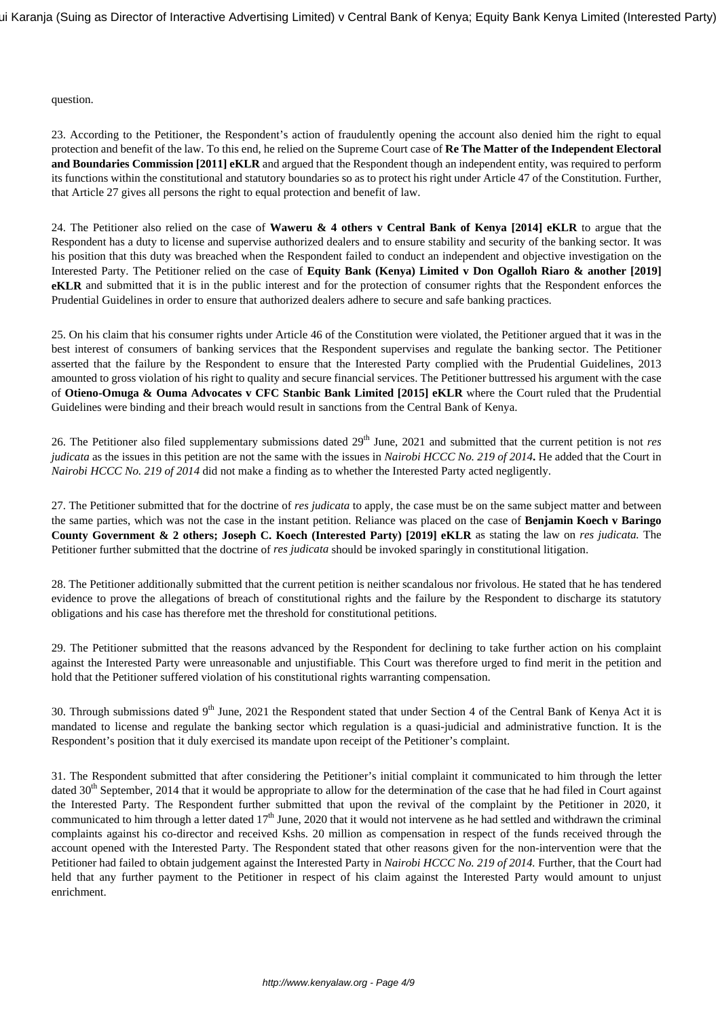question.

23. According to the Petitioner, the Respondent's action of fraudulently opening the account also denied him the right to equal protection and benefit of the law. To this end, he relied on the Supreme Court case of **Re The Matter of the Independent Electoral and Boundaries Commission [2011] eKLR** and argued that the Respondent though an independent entity, was required to perform its functions within the constitutional and statutory boundaries so as to protect his right under Article 47 of the Constitution. Further, that Article 27 gives all persons the right to equal protection and benefit of law.

24. The Petitioner also relied on the case of **Waweru & 4 others v Central Bank of Kenya [2014] eKLR** to argue that the Respondent has a duty to license and supervise authorized dealers and to ensure stability and security of the banking sector. It was his position that this duty was breached when the Respondent failed to conduct an independent and objective investigation on the Interested Party. The Petitioner relied on the case of **Equity Bank (Kenya) Limited v Don Ogalloh Riaro & another [2019] eKLR** and submitted that it is in the public interest and for the protection of consumer rights that the Respondent enforces the Prudential Guidelines in order to ensure that authorized dealers adhere to secure and safe banking practices.

25. On his claim that his consumer rights under Article 46 of the Constitution were violated, the Petitioner argued that it was in the best interest of consumers of banking services that the Respondent supervises and regulate the banking sector. The Petitioner asserted that the failure by the Respondent to ensure that the Interested Party complied with the Prudential Guidelines, 2013 amounted to gross violation of his right to quality and secure financial services. The Petitioner buttressed his argument with the case of **Otieno-Omuga & Ouma Advocates v CFC Stanbic Bank Limited [2015] eKLR** where the Court ruled that the Prudential Guidelines were binding and their breach would result in sanctions from the Central Bank of Kenya.

26. The Petitioner also filed supplementary submissions dated 29<sup>th</sup> June, 2021 and submitted that the current petition is not *res judicata* as the issues in this petition are not the same with the issues in *Nairobi HCCC No. 219 of 2014***.** He added that the Court in *Nairobi HCCC No. 219 of 2014* did not make a finding as to whether the Interested Party acted negligently.

27. The Petitioner submitted that for the doctrine of *res judicata* to apply, the case must be on the same subject matter and between the same parties, which was not the case in the instant petition. Reliance was placed on the case of **Benjamin Koech v Baringo County Government & 2 others; Joseph C. Koech (Interested Party) [2019] eKLR** as stating the law on *res judicata.* The Petitioner further submitted that the doctrine of *res judicata* should be invoked sparingly in constitutional litigation.

28. The Petitioner additionally submitted that the current petition is neither scandalous nor frivolous. He stated that he has tendered evidence to prove the allegations of breach of constitutional rights and the failure by the Respondent to discharge its statutory obligations and his case has therefore met the threshold for constitutional petitions.

29. The Petitioner submitted that the reasons advanced by the Respondent for declining to take further action on his complaint against the Interested Party were unreasonable and unjustifiable. This Court was therefore urged to find merit in the petition and hold that the Petitioner suffered violation of his constitutional rights warranting compensation.

30. Through submissions dated  $9<sup>th</sup>$  June, 2021 the Respondent stated that under Section 4 of the Central Bank of Kenya Act it is mandated to license and regulate the banking sector which regulation is a quasi-judicial and administrative function. It is the Respondent's position that it duly exercised its mandate upon receipt of the Petitioner's complaint.

31. The Respondent submitted that after considering the Petitioner's initial complaint it communicated to him through the letter dated 30<sup>th</sup> September, 2014 that it would be appropriate to allow for the determination of the case that he had filed in Court against the Interested Party. The Respondent further submitted that upon the revival of the complaint by the Petitioner in 2020, it communicated to him through a letter dated  $17<sup>th</sup>$  June, 2020 that it would not intervene as he had settled and withdrawn the criminal complaints against his co-director and received Kshs. 20 million as compensation in respect of the funds received through the account opened with the Interested Party. The Respondent stated that other reasons given for the non-intervention were that the Petitioner had failed to obtain judgement against the Interested Party in *Nairobi HCCC No. 219 of 2014.* Further, that the Court had held that any further payment to the Petitioner in respect of his claim against the Interested Party would amount to unjust enrichment.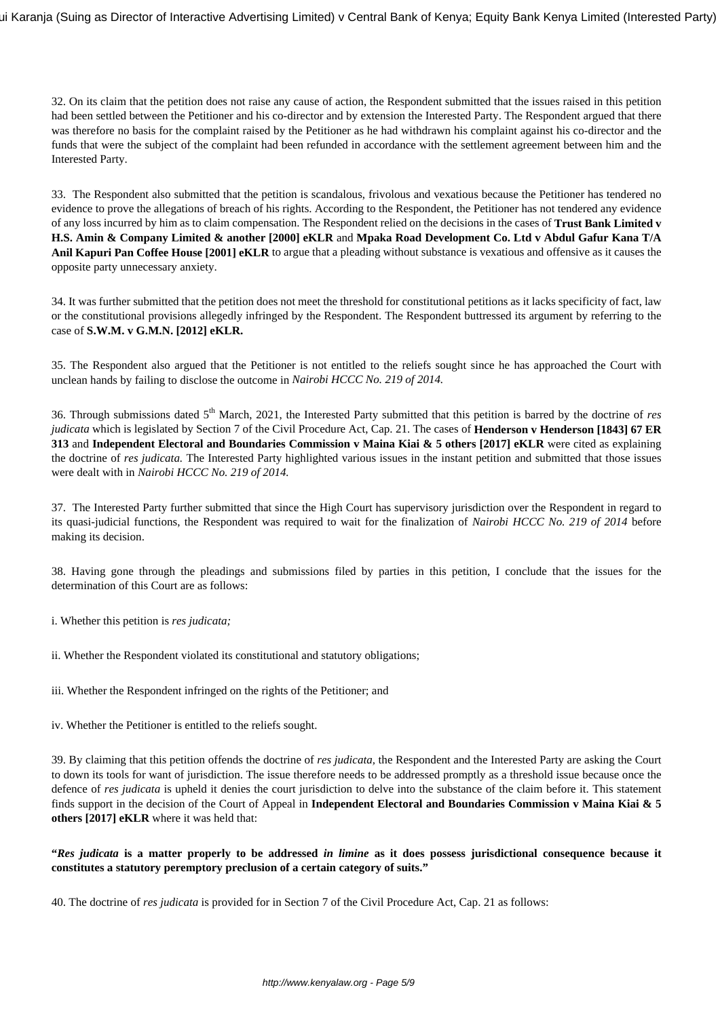32. On its claim that the petition does not raise any cause of action, the Respondent submitted that the issues raised in this petition had been settled between the Petitioner and his co-director and by extension the Interested Party. The Respondent argued that there was therefore no basis for the complaint raised by the Petitioner as he had withdrawn his complaint against his co-director and the funds that were the subject of the complaint had been refunded in accordance with the settlement agreement between him and the Interested Party.

33. The Respondent also submitted that the petition is scandalous, frivolous and vexatious because the Petitioner has tendered no evidence to prove the allegations of breach of his rights. According to the Respondent, the Petitioner has not tendered any evidence of any loss incurred by him as to claim compensation. The Respondent relied on the decisions in the cases of **Trust Bank Limited v H.S. Amin & Company Limited & another [2000] eKLR** and **Mpaka Road Development Co. Ltd v Abdul Gafur Kana T/A Anil Kapuri Pan Coffee House [2001] eKLR** to argue that a pleading without substance is vexatious and offensive as it causes the opposite party unnecessary anxiety.

34. It was further submitted that the petition does not meet the threshold for constitutional petitions as it lacks specificity of fact, law or the constitutional provisions allegedly infringed by the Respondent. The Respondent buttressed its argument by referring to the case of **S.W.M. v G.M.N. [2012] eKLR.**

35. The Respondent also argued that the Petitioner is not entitled to the reliefs sought since he has approached the Court with unclean hands by failing to disclose the outcome in *Nairobi HCCC No. 219 of 2014.* 

36. Through submissions dated 5th March, 2021, the Interested Party submitted that this petition is barred by the doctrine of *res judicata* which is legislated by Section 7 of the Civil Procedure Act, Cap. 21. The cases of **Henderson v Henderson [1843] 67 ER 313** and **Independent Electoral and Boundaries Commission v Maina Kiai & 5 others [2017] eKLR** were cited as explaining the doctrine of *res judicata.* The Interested Party highlighted various issues in the instant petition and submitted that those issues were dealt with in *Nairobi HCCC No. 219 of 2014.* 

37. The Interested Party further submitted that since the High Court has supervisory jurisdiction over the Respondent in regard to its quasi-judicial functions, the Respondent was required to wait for the finalization of *Nairobi HCCC No. 219 of 2014* before making its decision.

38. Having gone through the pleadings and submissions filed by parties in this petition, I conclude that the issues for the determination of this Court are as follows:

i. Whether this petition is *res judicata;*

ii. Whether the Respondent violated its constitutional and statutory obligations;

iii. Whether the Respondent infringed on the rights of the Petitioner; and

iv. Whether the Petitioner is entitled to the reliefs sought.

39. By claiming that this petition offends the doctrine of *res judicata,* the Respondent and the Interested Party are asking the Court to down its tools for want of jurisdiction. The issue therefore needs to be addressed promptly as a threshold issue because once the defence of *res judicata* is upheld it denies the court jurisdiction to delve into the substance of the claim before it. This statement finds support in the decision of the Court of Appeal in **Independent Electoral and Boundaries Commission v Maina Kiai & 5 others [2017] eKLR** where it was held that:

**"***Res judicata* **is a matter properly to be addressed** *in limine* **as it does possess jurisdictional consequence because it constitutes a statutory peremptory preclusion of a certain category of suits."**

40. The doctrine of *res judicata* is provided for in Section 7 of the Civil Procedure Act, Cap. 21 as follows: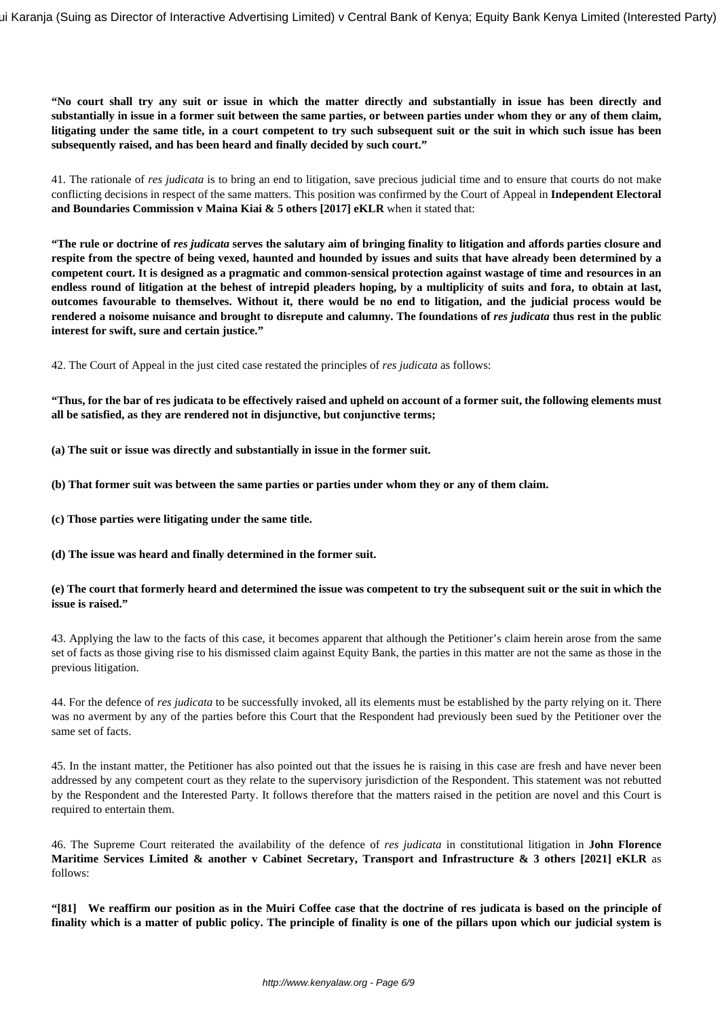**"No court shall try any suit or issue in which the matter directly and substantially in issue has been directly and substantially in issue in a former suit between the same parties, or between parties under whom they or any of them claim, litigating under the same title, in a court competent to try such subsequent suit or the suit in which such issue has been subsequently raised, and has been heard and finally decided by such court."**

41. The rationale of *res judicata* is to bring an end to litigation, save precious judicial time and to ensure that courts do not make conflicting decisions in respect of the same matters. This position was confirmed by the Court of Appeal in **Independent Electoral and Boundaries Commission v Maina Kiai & 5 others [2017] eKLR** when it stated that:

**"The rule or doctrine of** *res judicata* **serves the salutary aim of bringing finality to litigation and affords parties closure and respite from the spectre of being vexed, haunted and hounded by issues and suits that have already been determined by a competent court. It is designed as a pragmatic and common-sensical protection against wastage of time and resources in an endless round of litigation at the behest of intrepid pleaders hoping, by a multiplicity of suits and fora, to obtain at last, outcomes favourable to themselves. Without it, there would be no end to litigation, and the judicial process would be** rendered a noisome nuisance and brought to disrepute and calumny. The foundations of res judicata thus rest in the public **interest for swift, sure and certain justice."**

42. The Court of Appeal in the just cited case restated the principles of *res judicata* as follows:

**"Thus, for the bar of res judicata to be effectively raised and upheld on account of a former suit, the following elements must all be satisfied, as they are rendered not in disjunctive, but conjunctive terms;**

**(a) The suit or issue was directly and substantially in issue in the former suit.**

**(b) That former suit was between the same parties or parties under whom they or any of them claim.**

**(c) Those parties were litigating under the same title.**

**(d) The issue was heard and finally determined in the former suit.**

#### **(e) The court that formerly heard and determined the issue was competent to try the subsequent suit or the suit in which the issue is raised."**

43. Applying the law to the facts of this case, it becomes apparent that although the Petitioner's claim herein arose from the same set of facts as those giving rise to his dismissed claim against Equity Bank, the parties in this matter are not the same as those in the previous litigation.

44. For the defence of *res judicata* to be successfully invoked, all its elements must be established by the party relying on it. There was no averment by any of the parties before this Court that the Respondent had previously been sued by the Petitioner over the same set of facts.

45. In the instant matter, the Petitioner has also pointed out that the issues he is raising in this case are fresh and have never been addressed by any competent court as they relate to the supervisory jurisdiction of the Respondent. This statement was not rebutted by the Respondent and the Interested Party. It follows therefore that the matters raised in the petition are novel and this Court is required to entertain them.

46. The Supreme Court reiterated the availability of the defence of *res judicata* in constitutional litigation in **John Florence Maritime Services Limited & another v Cabinet Secretary, Transport and Infrastructure & 3 others [2021] eKLR** as follows:

**"[81] We reaffirm our position as in the Muiri Coffee case that the doctrine of res judicata is based on the principle of finality which is a matter of public policy. The principle of finality is one of the pillars upon which our judicial system is**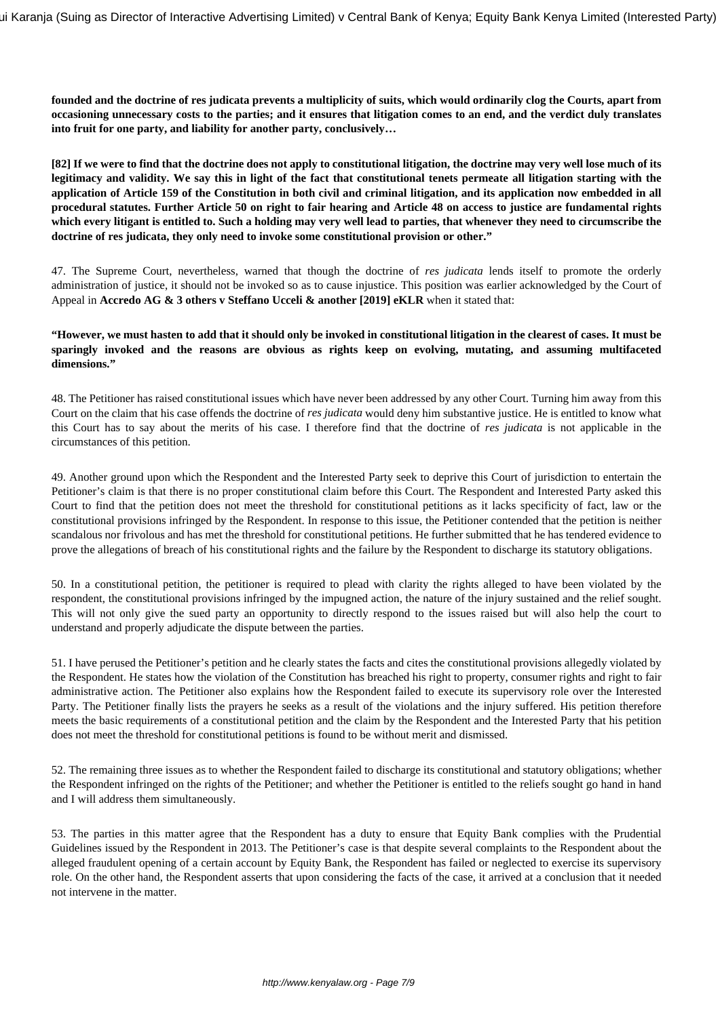**founded and the doctrine of res judicata prevents a multiplicity of suits, which would ordinarily clog the Courts, apart from occasioning unnecessary costs to the parties; and it ensures that litigation comes to an end, and the verdict duly translates into fruit for one party, and liability for another party, conclusively…**

**[82] If we were to find that the doctrine does not apply to constitutional litigation, the doctrine may very well lose much of its legitimacy and validity. We say this in light of the fact that constitutional tenets permeate all litigation starting with the application of Article 159 of the Constitution in both civil and criminal litigation, and its application now embedded in all procedural statutes. Further Article 50 on right to fair hearing and Article 48 on access to justice are fundamental rights which every litigant is entitled to. Such a holding may very well lead to parties, that whenever they need to circumscribe the doctrine of res judicata, they only need to invoke some constitutional provision or other."**

47. The Supreme Court, nevertheless, warned that though the doctrine of *res judicata* lends itself to promote the orderly administration of justice, it should not be invoked so as to cause injustice. This position was earlier acknowledged by the Court of Appeal in **Accredo AG & 3 others v Steffano Ucceli & another [2019] eKLR** when it stated that:

**"However, we must hasten to add that it should only be invoked in constitutional litigation in the clearest of cases. It must be sparingly invoked and the reasons are obvious as rights keep on evolving, mutating, and assuming multifaceted dimensions."** 

48. The Petitioner has raised constitutional issues which have never been addressed by any other Court. Turning him away from this Court on the claim that his case offends the doctrine of *res judicata* would deny him substantive justice. He is entitled to know what this Court has to say about the merits of his case. I therefore find that the doctrine of *res judicata* is not applicable in the circumstances of this petition.

49. Another ground upon which the Respondent and the Interested Party seek to deprive this Court of jurisdiction to entertain the Petitioner's claim is that there is no proper constitutional claim before this Court. The Respondent and Interested Party asked this Court to find that the petition does not meet the threshold for constitutional petitions as it lacks specificity of fact, law or the constitutional provisions infringed by the Respondent. In response to this issue, the Petitioner contended that the petition is neither scandalous nor frivolous and has met the threshold for constitutional petitions. He further submitted that he has tendered evidence to prove the allegations of breach of his constitutional rights and the failure by the Respondent to discharge its statutory obligations.

50. In a constitutional petition, the petitioner is required to plead with clarity the rights alleged to have been violated by the respondent, the constitutional provisions infringed by the impugned action, the nature of the injury sustained and the relief sought. This will not only give the sued party an opportunity to directly respond to the issues raised but will also help the court to understand and properly adjudicate the dispute between the parties.

51. I have perused the Petitioner's petition and he clearly states the facts and cites the constitutional provisions allegedly violated by the Respondent. He states how the violation of the Constitution has breached his right to property, consumer rights and right to fair administrative action. The Petitioner also explains how the Respondent failed to execute its supervisory role over the Interested Party. The Petitioner finally lists the prayers he seeks as a result of the violations and the injury suffered. His petition therefore meets the basic requirements of a constitutional petition and the claim by the Respondent and the Interested Party that his petition does not meet the threshold for constitutional petitions is found to be without merit and dismissed.

52. The remaining three issues as to whether the Respondent failed to discharge its constitutional and statutory obligations; whether the Respondent infringed on the rights of the Petitioner; and whether the Petitioner is entitled to the reliefs sought go hand in hand and I will address them simultaneously.

53. The parties in this matter agree that the Respondent has a duty to ensure that Equity Bank complies with the Prudential Guidelines issued by the Respondent in 2013. The Petitioner's case is that despite several complaints to the Respondent about the alleged fraudulent opening of a certain account by Equity Bank, the Respondent has failed or neglected to exercise its supervisory role. On the other hand, the Respondent asserts that upon considering the facts of the case, it arrived at a conclusion that it needed not intervene in the matter.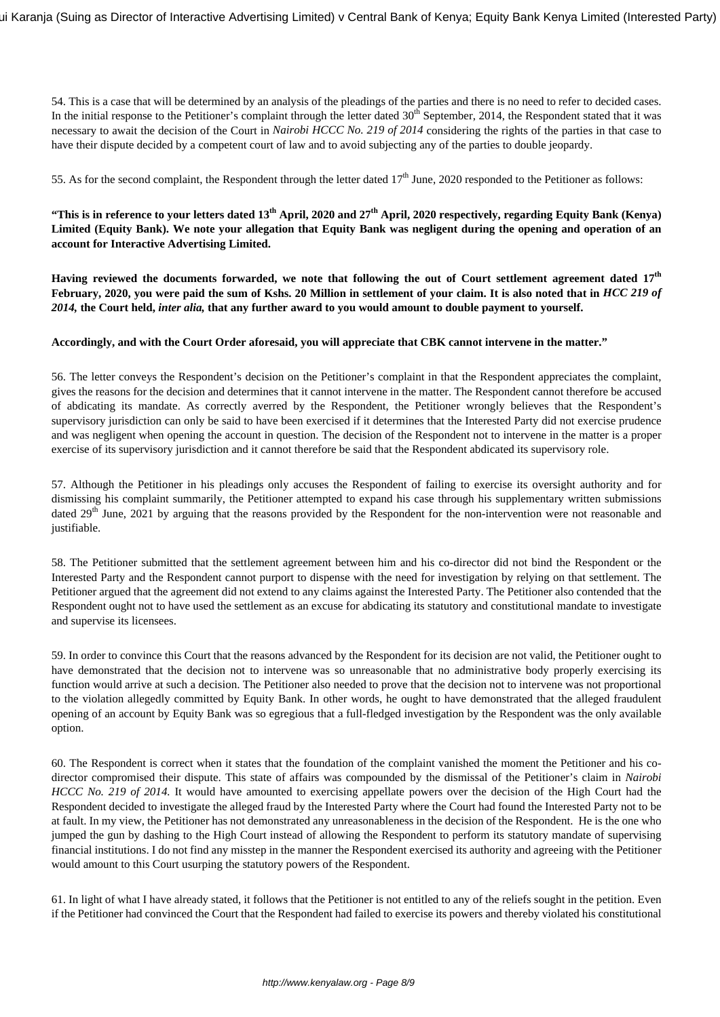54. This is a case that will be determined by an analysis of the pleadings of the parties and there is no need to refer to decided cases. In the initial response to the Petitioner's complaint through the letter dated  $30<sup>th</sup>$  September, 2014, the Respondent stated that it was necessary to await the decision of the Court in *Nairobi HCCC No. 219 of 2014* considering the rights of the parties in that case to have their dispute decided by a competent court of law and to avoid subjecting any of the parties to double jeopardy.

55. As for the second complaint, the Respondent through the letter dated  $17<sup>th</sup>$  June, 2020 responded to the Petitioner as follows:

**"This is in reference to your letters dated 13th April, 2020 and 27th April, 2020 respectively, regarding Equity Bank (Kenya) Limited (Equity Bank). We note your allegation that Equity Bank was negligent during the opening and operation of an account for Interactive Advertising Limited.**

**Having reviewed the documents forwarded, we note that following the out of Court settlement agreement dated 17th February, 2020, you were paid the sum of Kshs. 20 Million in settlement of your claim. It is also noted that in** *HCC 219 of 2014,* **the Court held,** *inter alia,* **that any further award to you would amount to double payment to yourself.**

#### **Accordingly, and with the Court Order aforesaid, you will appreciate that CBK cannot intervene in the matter."**

56. The letter conveys the Respondent's decision on the Petitioner's complaint in that the Respondent appreciates the complaint, gives the reasons for the decision and determines that it cannot intervene in the matter. The Respondent cannot therefore be accused of abdicating its mandate. As correctly averred by the Respondent, the Petitioner wrongly believes that the Respondent's supervisory jurisdiction can only be said to have been exercised if it determines that the Interested Party did not exercise prudence and was negligent when opening the account in question. The decision of the Respondent not to intervene in the matter is a proper exercise of its supervisory jurisdiction and it cannot therefore be said that the Respondent abdicated its supervisory role.

57. Although the Petitioner in his pleadings only accuses the Respondent of failing to exercise its oversight authority and for dismissing his complaint summarily, the Petitioner attempted to expand his case through his supplementary written submissions dated 29<sup>th</sup> June, 2021 by arguing that the reasons provided by the Respondent for the non-intervention were not reasonable and justifiable.

58. The Petitioner submitted that the settlement agreement between him and his co-director did not bind the Respondent or the Interested Party and the Respondent cannot purport to dispense with the need for investigation by relying on that settlement. The Petitioner argued that the agreement did not extend to any claims against the Interested Party. The Petitioner also contended that the Respondent ought not to have used the settlement as an excuse for abdicating its statutory and constitutional mandate to investigate and supervise its licensees.

59. In order to convince this Court that the reasons advanced by the Respondent for its decision are not valid, the Petitioner ought to have demonstrated that the decision not to intervene was so unreasonable that no administrative body properly exercising its function would arrive at such a decision. The Petitioner also needed to prove that the decision not to intervene was not proportional to the violation allegedly committed by Equity Bank. In other words, he ought to have demonstrated that the alleged fraudulent opening of an account by Equity Bank was so egregious that a full-fledged investigation by the Respondent was the only available option.

60. The Respondent is correct when it states that the foundation of the complaint vanished the moment the Petitioner and his codirector compromised their dispute. This state of affairs was compounded by the dismissal of the Petitioner's claim in *Nairobi HCCC No. 219 of 2014*. It would have amounted to exercising appellate powers over the decision of the High Court had the Respondent decided to investigate the alleged fraud by the Interested Party where the Court had found the Interested Party not to be at fault. In my view, the Petitioner has not demonstrated any unreasonableness in the decision of the Respondent. He is the one who jumped the gun by dashing to the High Court instead of allowing the Respondent to perform its statutory mandate of supervising financial institutions. I do not find any misstep in the manner the Respondent exercised its authority and agreeing with the Petitioner would amount to this Court usurping the statutory powers of the Respondent.

61. In light of what I have already stated, it follows that the Petitioner is not entitled to any of the reliefs sought in the petition. Even if the Petitioner had convinced the Court that the Respondent had failed to exercise its powers and thereby violated his constitutional